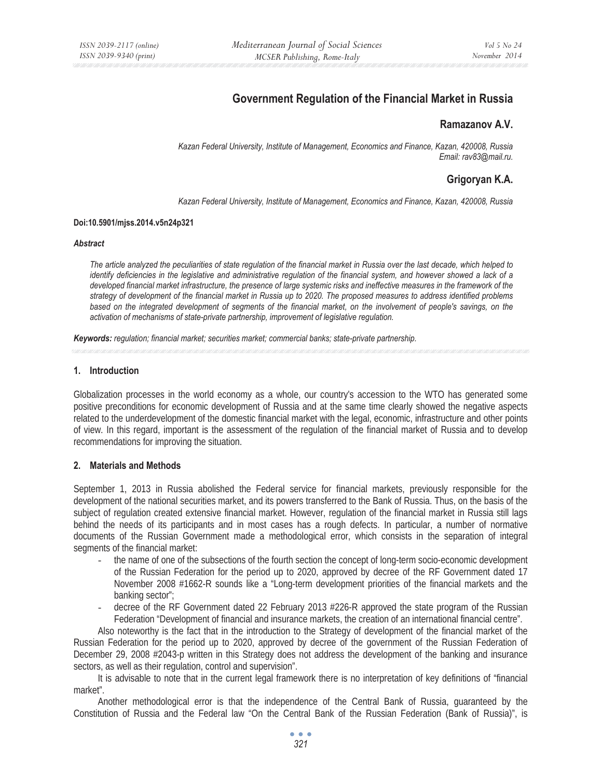# **Government Regulation of the Financial Market in Russia**

# **Ramazanov A.V.**

*Kazan Federal University, Institute of Management, Economics and Finance, Kazan, 420008, Russia Email: rav83@mail.ru.* 

# **Grigoryan K.A.**

*Kazan Federal University, Institute of Management, Economics and Finance, Kazan, 420008, Russia* 

#### **Doi:10.5901/mjss.2014.v5n24p321**

#### *Abstract*

*The article analyzed the peculiarities of state regulation of the financial market in Russia over the last decade, which helped to identify deficiencies in the legislative and administrative regulation of the financial system, and however showed a lack of a*  developed financial market infrastructure, the presence of large systemic risks and ineffective measures in the framework of the *strategy of development of the financial market in Russia up to 2020. The proposed measures to address identified problems*  based on the integrated development of segments of the financial market, on the involvement of people's savings, on the *activation of mechanisms of state-private partnership, improvement of legislative regulation.* 

*Keywords: regulation; financial market; securities market; commercial banks; state-private partnership.*

### **1. Introduction**

Globalization processes in the world economy as a whole, our country's accession to the WTO has generated some positive preconditions for economic development of Russia and at the same time clearly showed the negative aspects related to the underdevelopment of the domestic financial market with the legal, economic, infrastructure and other points of view. In this regard, important is the assessment of the regulation of the financial market of Russia and to develop recommendations for improving the situation.

#### **2. Materials and Methods**

September 1, 2013 in Russia abolished the Federal service for financial markets, previously responsible for the development of the national securities market, and its powers transferred to the Bank of Russia. Thus, on the basis of the subject of regulation created extensive financial market. However, regulation of the financial market in Russia still lags behind the needs of its participants and in most cases has a rough defects. In particular, a number of normative documents of the Russian Government made a methodological error, which consists in the separation of integral segments of the financial market:

- the name of one of the subsections of the fourth section the concept of long-term socio-economic development of the Russian Federation for the period up to 2020, approved by decree of the RF Government dated 17 November 2008 #1662-R sounds like a "Long-term development priorities of the financial markets and the banking sector";
- decree of the RF Government dated 22 February 2013 #226-R approved the state program of the Russian Federation "Development of financial and insurance markets, the creation of an international financial centre".

Also noteworthy is the fact that in the introduction to the Strategy of development of the financial market of the Russian Federation for the period up to 2020, approved by decree of the government of the Russian Federation of December 29, 2008 #2043-p written in this Strategy does not address the development of the banking and insurance sectors, as well as their regulation, control and supervision".

It is advisable to note that in the current legal framework there is no interpretation of key definitions of "financial market".

Another methodological error is that the independence of the Central Bank of Russia, guaranteed by the Constitution of Russia and the Federal law "On the Central Bank of the Russian Federation (Bank of Russia)", is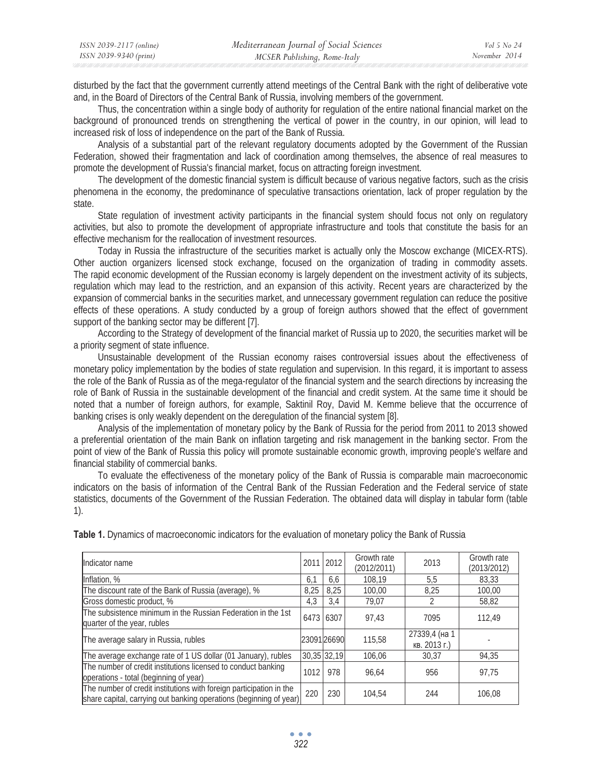| ISSN 2039-2117 (online) | Mediterranean Journal of Social Sciences | Vol 5 No 24   |
|-------------------------|------------------------------------------|---------------|
| ISSN 2039-9340 (print)  | MCSER Publishing, Rome-Italy             | November 2014 |

disturbed by the fact that the government currently attend meetings of the Central Bank with the right of deliberative vote and, in the Board of Directors of the Central Bank of Russia, involving members of the government.

Thus, the concentration within a single body of authority for regulation of the entire national financial market on the background of pronounced trends on strengthening the vertical of power in the country, in our opinion, will lead to increased risk of loss of independence on the part of the Bank of Russia.

Analysis of a substantial part of the relevant regulatory documents adopted by the Government of the Russian Federation, showed their fragmentation and lack of coordination among themselves, the absence of real measures to promote the development of Russia's financial market, focus on attracting foreign investment.

The development of the domestic financial system is difficult because of various negative factors, such as the crisis phenomena in the economy, the predominance of speculative transactions orientation, lack of proper regulation by the state.

State regulation of investment activity participants in the financial system should focus not only on regulatory activities, but also to promote the development of appropriate infrastructure and tools that constitute the basis for an effective mechanism for the reallocation of investment resources.

Today in Russia the infrastructure of the securities market is actually only the Moscow exchange (MICEX-RTS). Other auction organizers licensed stock exchange, focused on the organization of trading in commodity assets. The rapid economic development of the Russian economy is largely dependent on the investment activity of its subjects, regulation which may lead to the restriction, and an expansion of this activity. Recent years are characterized by the expansion of commercial banks in the securities market, and unnecessary government regulation can reduce the positive effects of these operations. A study conducted by a group of foreign authors showed that the effect of government support of the banking sector may be different [7].

According to the Strategy of development of the financial market of Russia up to 2020, the securities market will be a priority segment of state influence.

Unsustainable development of the Russian economy raises controversial issues about the effectiveness of monetary policy implementation by the bodies of state regulation and supervision. In this regard, it is important to assess the role of the Bank of Russia as of the mega-regulator of the financial system and the search directions by increasing the role of Bank of Russia in the sustainable development of the financial and credit system. At the same time it should be noted that a number of foreign authors, for example, Saktinil Roy, David M. Kemme believe that the occurrence of banking crises is only weakly dependent on the deregulation of the financial system [8].

Analysis of the implementation of monetary policy by the Bank of Russia for the period from 2011 to 2013 showed a preferential orientation of the main Bank on inflation targeting and risk management in the banking sector. From the point of view of the Bank of Russia this policy will promote sustainable economic growth, improving people's welfare and financial stability of commercial banks.

To evaluate the effectiveness of the monetary policy of the Bank of Russia is comparable main macroeconomic indicators on the basis of information of the Central Bank of the Russian Federation and the Federal service of state statistics, documents of the Government of the Russian Federation. The obtained data will display in tabular form (table 1).

| Indicator name                                                                                                                            |      | 2011 2012   | Growth rate<br>(2012/2011) | 2013                          | Growth rate<br>(2013/2012) |
|-------------------------------------------------------------------------------------------------------------------------------------------|------|-------------|----------------------------|-------------------------------|----------------------------|
| Inflation, %                                                                                                                              | 6.1  | 6,6         | 108.19                     | 5,5                           | 83,33                      |
| The discount rate of the Bank of Russia (average), %                                                                                      | 8.25 | 8.25        | 100,00                     | 8,25                          | 100,00                     |
| Gross domestic product, %                                                                                                                 |      | 3.4         | 79,07                      | $\mathfrak{D}$                | 58,82                      |
| The subsistence minimum in the Russian Federation in the 1st<br>quarter of the year, rubles                                               |      | 6473 6307   | 97.43                      | 7095                          | 112.49                     |
| The average salary in Russia, rubles                                                                                                      |      | 2309126690  | 115,58                     | 27339,4 (на 1<br>кв. 2013 г.) |                            |
| The average exchange rate of 1 US dollar (01 January), rubles                                                                             |      | 30,35 32,19 | 106,06                     | 30,37                         | 94,35                      |
| The number of credit institutions licensed to conduct banking<br>operations - total (beginning of year)                                   | 1012 | 978         | 96.64                      | 956                           | 97.75                      |
| The number of credit institutions with foreign participation in the<br>share capital, carrying out banking operations (beginning of year) | 220  | 230         | 104.54                     | 244                           | 106,08                     |

**Table 1.** Dynamics of macroeconomic indicators for the evaluation of monetary policy the Bank of Russia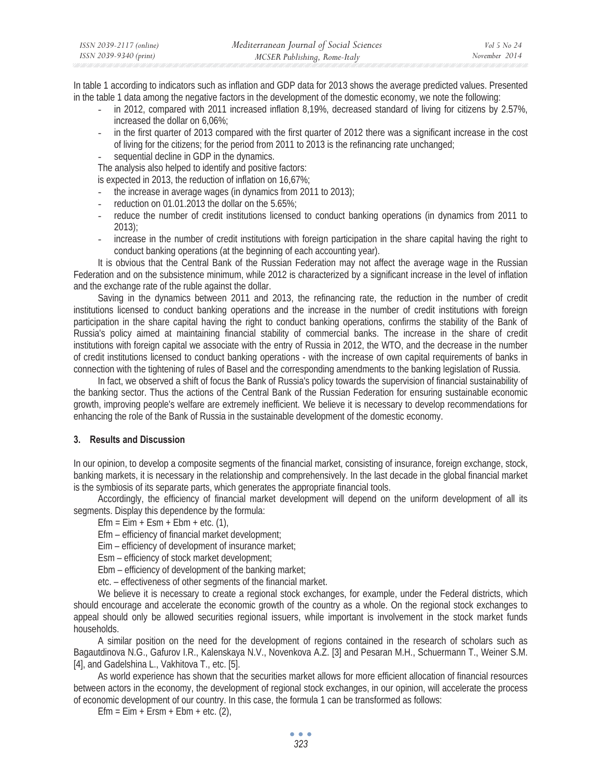| ISSN 2039-2117 (online) | Mediterranean Journal of Social Sciences | Vol 5 No 24   |
|-------------------------|------------------------------------------|---------------|
| ISSN 2039-9340 (print)  | MCSER Publishing, Rome-Italy             | November 2014 |

In table 1 according to indicators such as inflation and GDP data for 2013 shows the average predicted values. Presented in the table 1 data among the negative factors in the development of the domestic economy, we note the following:

- in 2012, compared with 2011 increased inflation 8,19%, decreased standard of living for citizens by 2.57%, increased the dollar on 6,06%;
- in the first quarter of 2013 compared with the first quarter of 2012 there was a significant increase in the cost of living for the citizens; for the period from 2011 to 2013 is the refinancing rate unchanged;
- sequential decline in GDP in the dynamics.

The analysis also helped to identify and positive factors: is expected in 2013, the reduction of inflation on 16,67%;

- the increase in average wages (in dynamics from 2011 to 2013);
- reduction on  $01.01.2013$  the dollar on the  $5.65\%$ ;
- reduce the number of credit institutions licensed to conduct banking operations (in dynamics from 2011 to 2013);
- increase in the number of credit institutions with foreign participation in the share capital having the right to conduct banking operations (at the beginning of each accounting year).

It is obvious that the Central Bank of the Russian Federation may not affect the average wage in the Russian Federation and on the subsistence minimum, while 2012 is characterized by a significant increase in the level of inflation and the exchange rate of the ruble against the dollar.

Saving in the dynamics between 2011 and 2013, the refinancing rate, the reduction in the number of credit institutions licensed to conduct banking operations and the increase in the number of credit institutions with foreign participation in the share capital having the right to conduct banking operations, confirms the stability of the Bank of Russia's policy aimed at maintaining financial stability of commercial banks. The increase in the share of credit institutions with foreign capital we associate with the entry of Russia in 2012, the WTO, and the decrease in the number of credit institutions licensed to conduct banking operations - with the increase of own capital requirements of banks in connection with the tightening of rules of Basel and the corresponding amendments to the banking legislation of Russia.

In fact, we observed a shift of focus the Bank of Russia's policy towards the supervision of financial sustainability of the banking sector. Thus the actions of the Central Bank of the Russian Federation for ensuring sustainable economic growth, improving people's welfare are extremely inefficient. We believe it is necessary to develop recommendations for enhancing the role of the Bank of Russia in the sustainable development of the domestic economy.

## **3. Results and Discussion**

In our opinion, to develop a composite segments of the financial market, consisting of insurance, foreign exchange, stock, banking markets, it is necessary in the relationship and comprehensively. In the last decade in the global financial market is the symbiosis of its separate parts, which generates the appropriate financial tools.

Accordingly, the efficiency of financial market development will depend on the uniform development of all its segments. Display this dependence by the formula:

 $E$ fm =  $E$ im +  $E$ sm +  $E$ bm +  $etc.$  (1),

Efm – efficiency of financial market development;

Eim – efficiency of development of insurance market;

Esm – efficiency of stock market development;

Ebm – efficiency of development of the banking market;

etc. – effectiveness of other segments of the financial market.

We believe it is necessary to create a regional stock exchanges, for example, under the Federal districts, which should encourage and accelerate the economic growth of the country as a whole. On the regional stock exchanges to appeal should only be allowed securities regional issuers, while important is involvement in the stock market funds households.

A similar position on the need for the development of regions contained in the research of scholars such as Bagautdinova N.G., Gafurov I.R., Kalenskaya N.V., Novenkova A.Z. [3] and Pesaran M.H., Schuermann T., Weiner S.M. [4], and Gadelshina L., Vakhitova T., etc. [5].

As world experience has shown that the securities market allows for more efficient allocation of financial resources between actors in the economy, the development of regional stock exchanges, in our opinion, will accelerate the process of economic development of our country. In this case, the formula 1 can be transformed as follows:

 $E$ fm =  $E$ im +  $E$ rsm +  $E$ bm +  $etc.$  (2),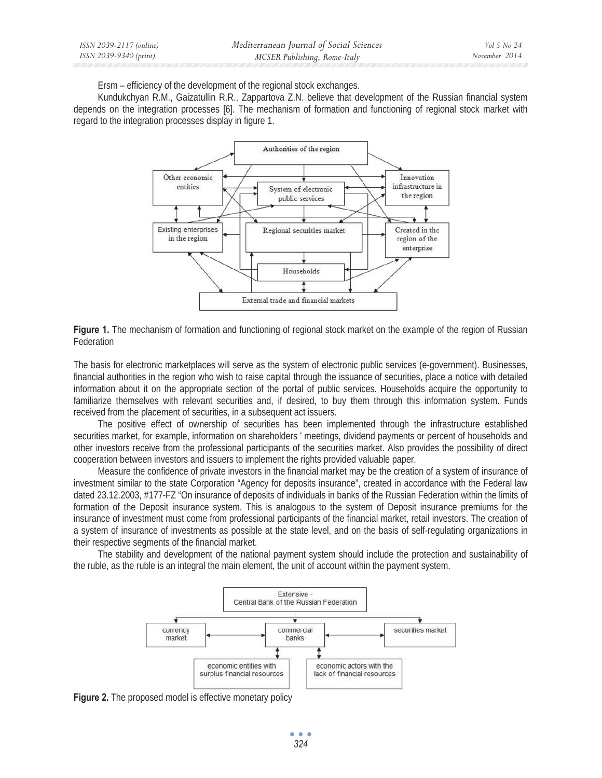| ISSN 2039-2117 (online) | Mediterranean Journal of Social Sciences | Vol 5 No 24   |
|-------------------------|------------------------------------------|---------------|
| ISSN 2039-9340 (print)  | MCSER Publishing, Rome-Italy             | November 2014 |

Ersm – efficiency of the development of the regional stock exchanges.

Kundukchyan R.M., Gaizatullin R.R., Zappartova Z.N. believe that development of the Russian financial system depends on the integration processes [6]. The mechanism of formation and functioning of regional stock market with regard to the integration processes display in figure 1.



**Figure 1.** The mechanism of formation and functioning of regional stock market on the example of the region of Russian Federation

The basis for electronic marketplaces will serve as the system of electronic public services (e-government). Businesses, financial authorities in the region who wish to raise capital through the issuance of securities, place a notice with detailed information about it on the appropriate section of the portal of public services. Households acquire the opportunity to familiarize themselves with relevant securities and, if desired, to buy them through this information system. Funds received from the placement of securities, in a subsequent act issuers.

The positive effect of ownership of securities has been implemented through the infrastructure established securities market, for example, information on shareholders ' meetings, dividend payments or percent of households and other investors receive from the professional participants of the securities market. Also provides the possibility of direct cooperation between investors and issuers to implement the rights provided valuable paper.

Measure the confidence of private investors in the financial market may be the creation of a system of insurance of investment similar to the state Corporation "Agency for deposits insurance", created in accordance with the Federal law dated 23.12.2003, #177-FZ "On insurance of deposits of individuals in banks of the Russian Federation within the limits of formation of the Deposit insurance system. This is analogous to the system of Deposit insurance premiums for the insurance of investment must come from professional participants of the financial market, retail investors. The creation of a system of insurance of investments as possible at the state level, and on the basis of self-regulating organizations in their respective segments of the financial market.

The stability and development of the national payment system should include the protection and sustainability of the ruble, as the ruble is an integral the main element, the unit of account within the payment system.



**Figure 2.** The proposed model is effective monetary policy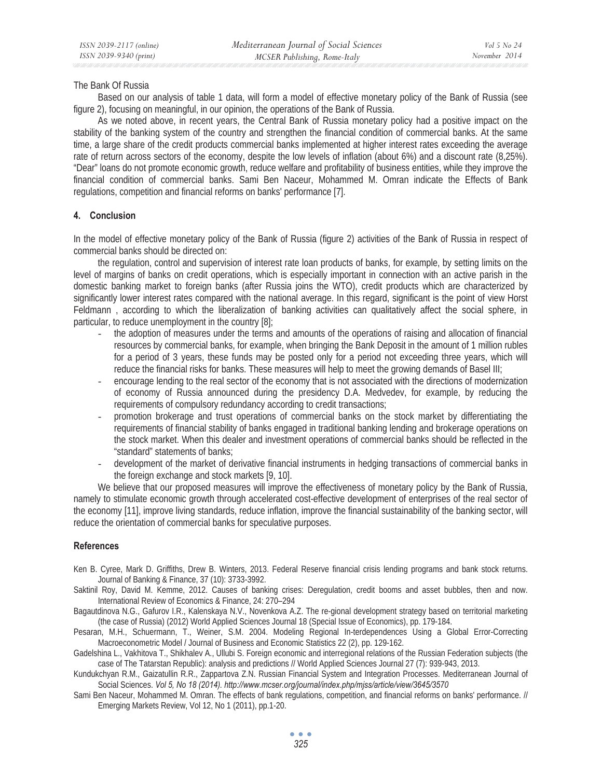The Bank Of Russia

Based on our analysis of table 1 data, will form a model of effective monetary policy of the Bank of Russia (see figure 2), focusing on meaningful, in our opinion, the operations of the Bank of Russia.

As we noted above, in recent years, the Central Bank of Russia monetary policy had a positive impact on the stability of the banking system of the country and strengthen the financial condition of commercial banks. At the same time, a large share of the credit products commercial banks implemented at higher interest rates exceeding the average rate of return across sectors of the economy, despite the low levels of inflation (about 6%) and a discount rate (8,25%). "Dear" loans do not promote economic growth, reduce welfare and profitability of business entities, while they improve the financial condition of commercial banks. Sami Ben Naceur, Mohammed M. Omran indicate the Effects of Bank regulations, competition and financial reforms on banks' performance [7].

### **4. Conclusion**

In the model of effective monetary policy of the Bank of Russia (figure 2) activities of the Bank of Russia in respect of commercial banks should be directed on:

the regulation, control and supervision of interest rate loan products of banks, for example, by setting limits on the level of margins of banks on credit operations, which is especially important in connection with an active parish in the domestic banking market to foreign banks (after Russia joins the WTO), credit products which are characterized by significantly lower interest rates compared with the national average. In this regard, significant is the point of view Horst Feldmann , according to which the liberalization of banking activities can qualitatively affect the social sphere, in particular, to reduce unemployment in the country [8];

- the adoption of measures under the terms and amounts of the operations of raising and allocation of financial resources by commercial banks, for example, when bringing the Bank Deposit in the amount of 1 million rubles for a period of 3 years, these funds may be posted only for a period not exceeding three years, which will reduce the financial risks for banks. These measures will help to meet the growing demands of Basel III;
- encourage lending to the real sector of the economy that is not associated with the directions of modernization of economy of Russia announced during the presidency D.A. Medvedev, for example, by reducing the requirements of compulsory redundancy according to credit transactions;
- promotion brokerage and trust operations of commercial banks on the stock market by differentiating the requirements of financial stability of banks engaged in traditional banking lending and brokerage operations on the stock market. When this dealer and investment operations of commercial banks should be reflected in the "standard" statements of banks;
- development of the market of derivative financial instruments in hedging transactions of commercial banks in the foreign exchange and stock markets [9, 10].

We believe that our proposed measures will improve the effectiveness of monetary policy by the Bank of Russia, namely to stimulate economic growth through accelerated cost-effective development of enterprises of the real sector of the economy [11], improve living standards, reduce inflation, improve the financial sustainability of the banking sector, will reduce the orientation of commercial banks for speculative purposes.

## **References**

- Ken B. Cyree, Mark D. Griffiths, Drew B. Winters, 2013. Federal Reserve financial crisis lending programs and bank stock returns. Journal of Banking & Finance, 37 (10): 3733-3992.
- Saktinil Roy, David M. Kemme, 2012. Causes of banking crises: Deregulation, credit booms and asset bubbles, then and now. International Review of Economics & Finance, 24: 270–294
- Bagautdinova N.G., Gafurov I.R., Kalenskaya N.V., Novenkova A.Z. The re-gional development strategy based on territorial marketing (the case of Russia) (2012) World Applied Sciences Journal 18 (Special Issue of Economics), pp. 179-184.
- Pesaran, M.H., Schuermann, T., Weiner, S.M. 2004. Modeling Regional In-terdependences Using a Global Error-Correcting Macroeconometric Model / Journal of Business and Economic Statistics 22 (2), pp. 129-162.
- Gadelshina L., Vakhitova T., Shikhalev A., Ullubi S. Foreign economic and interregional relations of the Russian Federation subjects (the case of The Tatarstan Republic): analysis and predictions // World Applied Sciences Journal 27 (7): 939-943, 2013.
- Kundukchyan R.M., Gaizatullin R.R., Zappartova Z.N. Russian Financial System and Integration Processes. Mediterranean Journal of Social Sciences. *Vol 5, No 18 (2014). http://www.mcser.org/journal/index.php/mjss/article/view/3645/3570*
- Sami Ben Naceur, Mohammed M. Omran. The effects of bank regulations, competition, and financial reforms on banks' performance. // Emerging Markets Review, Vol 12, No 1 (2011), pp.1-20.